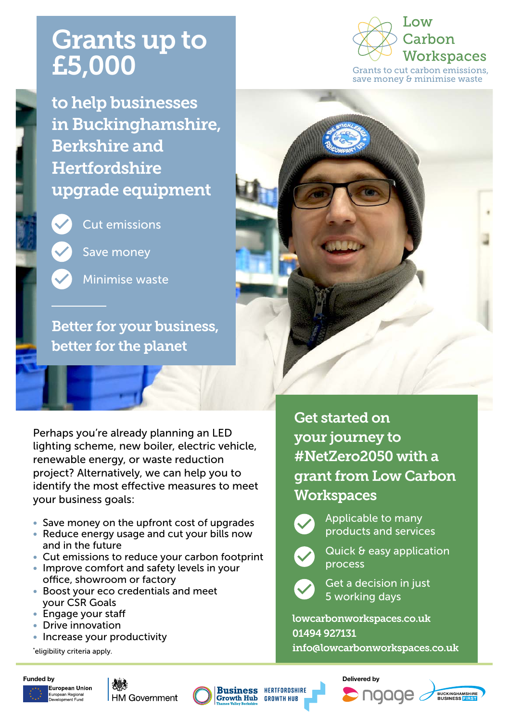## Grants up to £5,000

to help businesses in Buckinghamshire, Berkshire and **Hertfordshire** upgrade equipment



Cut emissions

Save money

Minimise waste

Better for your business, better for the planet

Perhaps you're already planning an LED lighting scheme, new boiler, electric vehicle, renewable energy, or waste reduction project? Alternatively, we can help you to identify the most effective measures to meet your business goals:

- Save money on the upfront cost of upgrades
- Reduce energy usage and cut your bills now and in the future
- Cut emissions to reduce your carbon footprint
- Improve comfort and safety levels in your office, showroom or factory
- Boost your eco credentials and meet your CSR Goals
- Engage your staff
- Drive innovation
- Increase your productivity

\* eligibility criteria apply.









**Business HERTFORDSHIRE Growth Hub GROWTH HUB** 







**MO.** Carbon **Workspaces** Grants to cut carbon emissions, save money & minimise waste



Get started on your journey to [#NetZero2050](https://www.gov.uk/government/news/uk-becomes-first-major-economy-to-pass-net-zero-emissions-) with a grant from Low Carbon **Workspaces** 



Applicable to many products and services

Quick & easy application process



Get a decision in just 5 working days

[lowcarbonworkspaces.co.uk](http://www.lowcarbonworkspaces.co.uk) 01494 927131 info@lowcarbonworkspaces.co.uk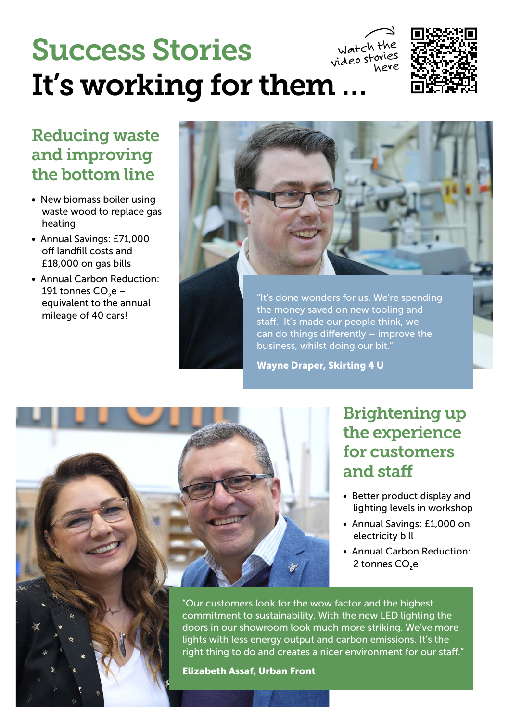#### Success Stories It's working for them … watch the videostories<br>here



### Reducing waste and improving the bottom line

- New biomass boiler using waste wood to replace gas heating
- Annual Savings: £71,000 off landfill costs and £18,000 on gas bills
- Annual Carbon Reduction: 191 tonnes  $CO<sub>2</sub>e$ equivalent to the annual mileage of 40 cars!



"It's done wonders for us. We're spending the money saved on new tooling and staff. It's made our people think, we can do things differently – improve the business, whilst doing our bit.

Wayne Draper, Skirting 4 U



#### Brightening up the experience for customers and staff

- Better product display and lighting levels in workshop
- Annual Savings: £1,000 on electricity bill
- Annual Carbon Reduction: 2 tonnes CO<sub>2</sub>e

"Our customers look for the wow factor and the highest commitment to sustainability. With the new LED lighting the doors in our showroom look much more striking. We've more lights with less energy output and carbon emissions. It's the right thing to do and creates a nicer environment for our staff."

Elizabeth Assaf, Urban Front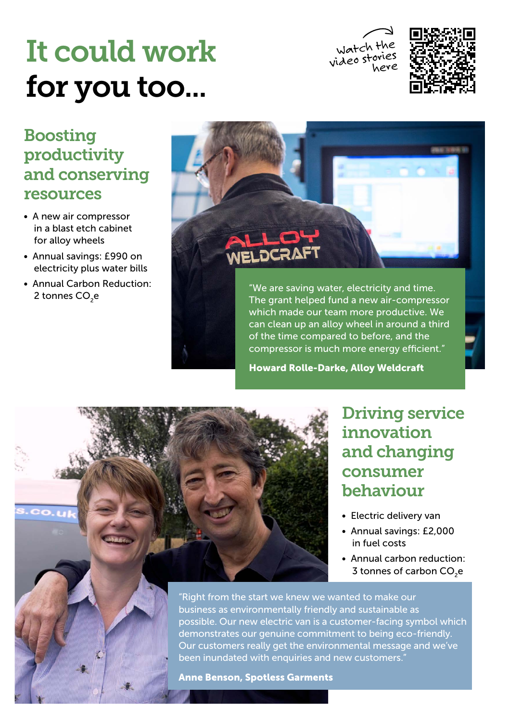# It could work for you too...

Watch the videostories<br>here



#### Boosting productivity and conserving resources

- A new air compressor in a blast etch cabinet for alloy wheels
- Annual savings: £990 on electricity plus water bills
- Annual Carbon Reduction: 2 tonnes CO<sub>2</sub>e



"We are saving water, electricity and time. The grant helped fund a new air-compressor which made our team more productive. We can clean up an alloy wheel in around a third of the time compared to before, and the compressor is much more energy efficient."

Howard Rolle-Darke, Alloy Weldcraft



Driving service innovation and changing consumer behaviour

- Electric delivery van
- Annual savings: £2,000 in fuel costs
- Annual carbon reduction: 3 tonnes of carbon CO<sub>2</sub>e

"Right from the start we knew we wanted to make our business as environmentally friendly and sustainable as possible. Our new electric van is a customer-facing symbol which demonstrates our genuine commitment to being eco-friendly. Our customers really get the environmental message and we've been inundated with enquiries and new customers."

Anne Benson, Spotless Garments